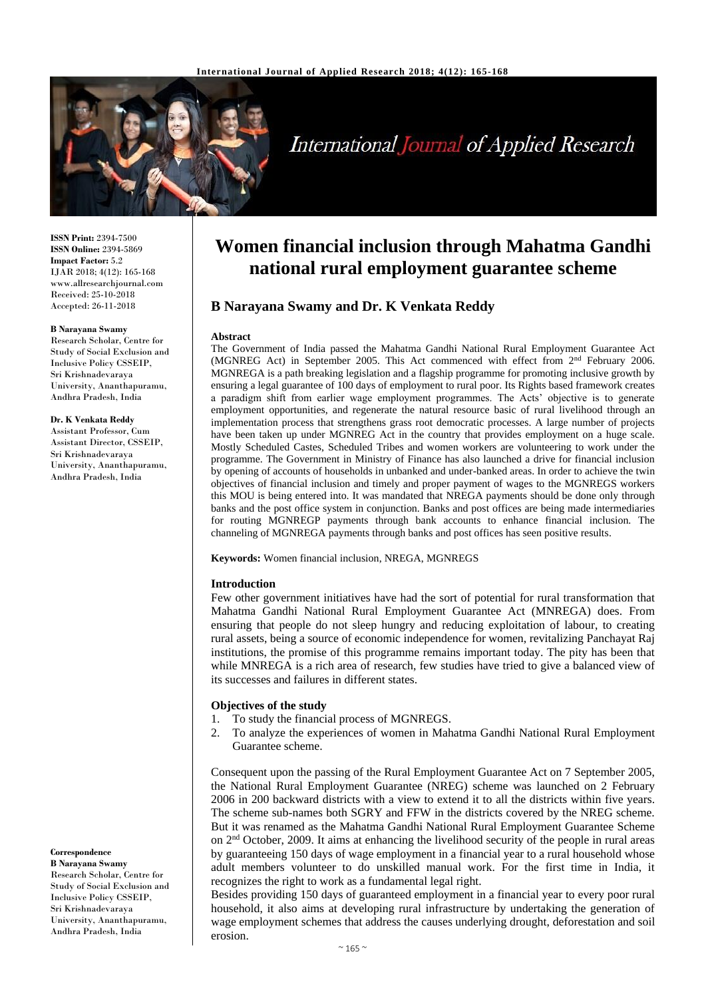

# **International Journal of Applied Research**

**ISSN Print:** 2394-7500 **ISSN Online:** 2394-5869 **Impact Factor:** 5.2 IJAR 2018; 4(12): 165-168 www.allresearchjournal.com Received: 25-10-2018 Accepted: 26-11-2018

#### **B Narayana Swamy**

Research Scholar, Centre for Study of Social Exclusion and Inclusive Policy CSSEIP, Sri Krishnadevaraya University, Ananthapuramu, Andhra Pradesh, India

#### **Dr. K Venkata Reddy**

Assistant Professor, Cum Assistant Director, CSSEIP, Sri Krishnadevaraya University, Ananthapuramu, Andhra Pradesh, India

# **Correspondence**

**B Narayana Swamy** Research Scholar, Centre for Study of Social Exclusion and Inclusive Policy CSSEIP, Sri Krishnadevaraya University, Ananthapuramu, Andhra Pradesh, India

# **Women financial inclusion through Mahatma Gandhi national rural employment guarantee scheme**

# **B Narayana Swamy and Dr. K Venkata Reddy**

#### **Abstract**

The Government of India passed the Mahatma Gandhi National Rural Employment Guarantee Act (MGNREG Act) in September 2005. This Act commenced with effect from 2nd February 2006. MGNREGA is a path breaking legislation and a flagship programme for promoting inclusive growth by ensuring a legal guarantee of 100 days of employment to rural poor. Its Rights based framework creates a paradigm shift from earlier wage employment programmes. The Acts' objective is to generate employment opportunities, and regenerate the natural resource basic of rural livelihood through an implementation process that strengthens grass root democratic processes. A large number of projects have been taken up under MGNREG Act in the country that provides employment on a huge scale. Mostly Scheduled Castes, Scheduled Tribes and women workers are volunteering to work under the programme. The Government in Ministry of Finance has also launched a drive for financial inclusion by opening of accounts of households in unbanked and under-banked areas. In order to achieve the twin objectives of financial inclusion and timely and proper payment of wages to the MGNREGS workers this MOU is being entered into. It was mandated that NREGA payments should be done only through banks and the post office system in conjunction. Banks and post offices are being made intermediaries for routing MGNREGP payments through bank accounts to enhance financial inclusion. The channeling of MGNREGA payments through banks and post offices has seen positive results.

**Keywords:** Women financial inclusion, NREGA, MGNREGS

#### **Introduction**

Few other government initiatives have had the sort of potential for rural transformation that Mahatma Gandhi National Rural Employment Guarantee Act (MNREGA) does. From ensuring that people do not sleep hungry and reducing exploitation of labour, to creating rural assets, being a source of economic independence for women, revitalizing Panchayat Raj institutions, the promise of this programme remains important today. The pity has been that while MNREGA is a rich area of research, few studies have tried to give a balanced view of its successes and failures in different states.

#### **Objectives of the study**

- 1. To study the financial process of MGNREGS.
- 2. To analyze the experiences of women in Mahatma Gandhi National Rural Employment Guarantee scheme.

Consequent upon the passing of the Rural Employment Guarantee Act on 7 September 2005, the National Rural Employment Guarantee (NREG) scheme was launched on 2 February 2006 in 200 backward districts with a view to extend it to all the districts within five years. The scheme sub-names both SGRY and FFW in the districts covered by the NREG scheme. But it was renamed as the Mahatma Gandhi National Rural Employment Guarantee Scheme on 2nd October, 2009. It aims at enhancing the livelihood security of the people in rural areas by guaranteeing 150 days of wage employment in a financial year to a rural household whose adult members volunteer to do unskilled manual work. For the first time in India, it recognizes the right to work as a fundamental legal right.

Besides providing 150 days of guaranteed employment in a financial year to every poor rural household, it also aims at developing rural infrastructure by undertaking the generation of wage employment schemes that address the causes underlying drought, deforestation and soil erosion.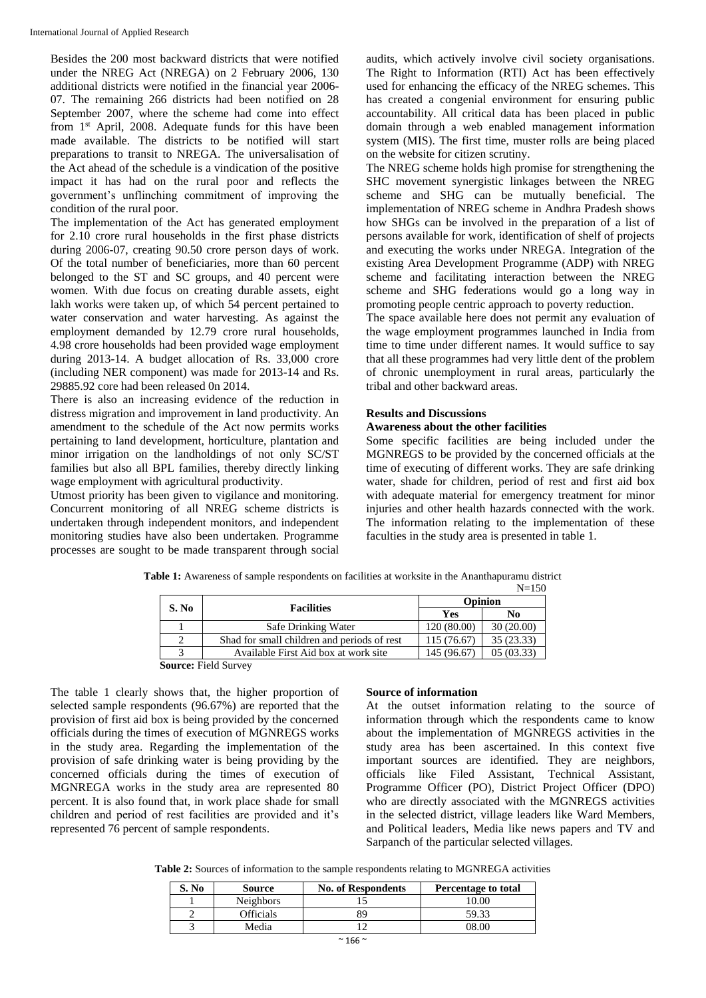Besides the 200 most backward districts that were notified under the NREG Act (NREGA) on 2 February 2006, 130 additional districts were notified in the financial year 2006- 07. The remaining 266 districts had been notified on 28 September 2007, where the scheme had come into effect from 1st April, 2008. Adequate funds for this have been made available. The districts to be notified will start preparations to transit to NREGA. The universalisation of the Act ahead of the schedule is a vindication of the positive impact it has had on the rural poor and reflects the government's unflinching commitment of improving the condition of the rural poor.

The implementation of the Act has generated employment for 2.10 crore rural households in the first phase districts during 2006-07, creating 90.50 crore person days of work. Of the total number of beneficiaries, more than 60 percent belonged to the ST and SC groups, and 40 percent were women. With due focus on creating durable assets, eight lakh works were taken up, of which 54 percent pertained to water conservation and water harvesting. As against the employment demanded by 12.79 crore rural households, 4.98 crore households had been provided wage employment during 2013-14. A budget allocation of Rs. 33,000 crore (including NER component) was made for 2013-14 and Rs. 29885.92 core had been released 0n 2014.

There is also an increasing evidence of the reduction in distress migration and improvement in land productivity. An amendment to the schedule of the Act now permits works pertaining to land development, horticulture, plantation and minor irrigation on the landholdings of not only SC/ST families but also all BPL families, thereby directly linking wage employment with agricultural productivity.

Utmost priority has been given to vigilance and monitoring. Concurrent monitoring of all NREG scheme districts is undertaken through independent monitors, and independent monitoring studies have also been undertaken. Programme processes are sought to be made transparent through social

audits, which actively involve civil society organisations. The Right to Information (RTI) Act has been effectively used for enhancing the efficacy of the NREG schemes. This has created a congenial environment for ensuring public accountability. All critical data has been placed in public domain through a web enabled management information system (MIS). The first time, muster rolls are being placed on the website for citizen scrutiny.

The NREG scheme holds high promise for strengthening the SHC movement synergistic linkages between the NREG scheme and SHG can be mutually beneficial. The implementation of NREG scheme in Andhra Pradesh shows how SHGs can be involved in the preparation of a list of persons available for work, identification of shelf of projects and executing the works under NREGA. Integration of the existing Area Development Programme (ADP) with NREG scheme and facilitating interaction between the NREG scheme and SHG federations would go a long way in promoting people centric approach to poverty reduction.

The space available here does not permit any evaluation of the wage employment programmes launched in India from time to time under different names. It would suffice to say that all these programmes had very little dent of the problem of chronic unemployment in rural areas, particularly the tribal and other backward areas.

#### **Results and Discussions**

### **Awareness about the other facilities**

Some specific facilities are being included under the MGNREGS to be provided by the concerned officials at the time of executing of different works. They are safe drinking water, shade for children, period of rest and first aid box with adequate material for emergency treatment for minor injuries and other health hazards connected with the work. The information relating to the implementation of these faculties in the study area is presented in table 1.

| Table 1: Awareness of sample respondents on facilities at worksite in the Ananthapuramu district |  |  |         |  |
|--------------------------------------------------------------------------------------------------|--|--|---------|--|
|                                                                                                  |  |  | $N=150$ |  |

|                                                                  |                                                            |            | $N=1.30$   |  |
|------------------------------------------------------------------|------------------------------------------------------------|------------|------------|--|
| S. No                                                            | <b>Facilities</b>                                          | Opinion    |            |  |
|                                                                  |                                                            | Yes        | No         |  |
|                                                                  | Safe Drinking Water                                        | 120(80.00) | 30(20.00)  |  |
| $\mathcal{D}_{\mathcal{A}}$                                      | Shad for small children and periods of rest<br>115 (76.67) |            | 35 (23.33) |  |
| 05(03.33)<br>145 (96.67)<br>Available First Aid box at work site |                                                            |            |            |  |
| <b>Source:</b> Field Survey                                      |                                                            |            |            |  |

The table 1 clearly shows that, the higher proportion of selected sample respondents (96.67%) are reported that the provision of first aid box is being provided by the concerned officials during the times of execution of MGNREGS works in the study area. Regarding the implementation of the provision of safe drinking water is being providing by the concerned officials during the times of execution of MGNREGA works in the study area are represented 80 percent. It is also found that, in work place shade for small children and period of rest facilities are provided and it's represented 76 percent of sample respondents.

#### **Source of information**

At the outset information relating to the source of information through which the respondents came to know about the implementation of MGNREGS activities in the study area has been ascertained. In this context five important sources are identified. They are neighbors, officials like Filed Assistant, Technical Assistant, Programme Officer (PO), District Project Officer (DPO) who are directly associated with the MGNREGS activities in the selected district, village leaders like Ward Members, and Political leaders, Media like news papers and TV and Sarpanch of the particular selected villages.

**Table 2:** Sources of information to the sample respondents relating to MGNREGA activities

| S. No | Source           | <b>No. of Respondents</b> | Percentage to total |
|-------|------------------|---------------------------|---------------------|
|       | <b>Neighbors</b> |                           | 10.00               |
|       | Officials        |                           | 59.33               |
|       | Media            |                           | 78.OO               |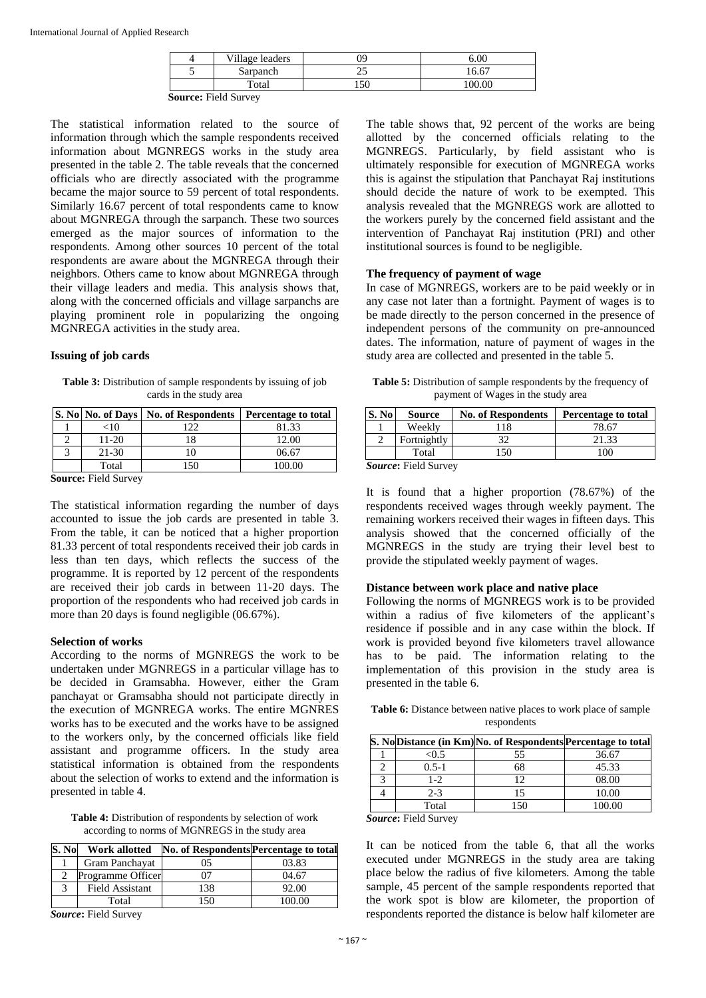| Village leaders             | ገዓ | 0.00   |
|-----------------------------|----|--------|
| Sarpanch                    |    | 16.67  |
| Total                       | 50 | 100.00 |
| <b>Source: Field Survey</b> |    |        |

The statistical information related to the source of information through which the sample respondents received information about MGNREGS works in the study area presented in the table 2. The table reveals that the concerned officials who are directly associated with the programme became the major source to 59 percent of total respondents. Similarly 16.67 percent of total respondents came to know about MGNREGA through the sarpanch. These two sources emerged as the major sources of information to the respondents. Among other sources 10 percent of the total respondents are aware about the MGNREGA through their neighbors. Others came to know about MGNREGA through their village leaders and media. This analysis shows that, along with the concerned officials and village sarpanchs are playing prominent role in popularizing the ongoing MGNREGA activities in the study area.

#### **Issuing of job cards**

Table 3: Distribution of sample respondents by issuing of job cards in the study area

|        |          | S. No No. of Days   No. of Respondents   Percentage to total |        |
|--------|----------|--------------------------------------------------------------|--------|
|        | ${<}10$  | ר ר                                                          | 81.33  |
|        | 11-20    |                                                              | 12.00  |
|        | 21-30    |                                                              | 06.67  |
|        | Total    | -50                                                          | 100.00 |
| $\sim$ | <b>.</b> |                                                              |        |

**Source:** Field Survey

The statistical information regarding the number of days accounted to issue the job cards are presented in table 3. From the table, it can be noticed that a higher proportion 81.33 percent of total respondents received their job cards in less than ten days, which reflects the success of the programme. It is reported by 12 percent of the respondents are received their job cards in between 11-20 days. The proportion of the respondents who had received job cards in more than 20 days is found negligible (06.67%).

#### **Selection of works**

According to the norms of MGNREGS the work to be undertaken under MGNREGS in a particular village has to be decided in Gramsabha. However, either the Gram panchayat or Gramsabha should not participate directly in the execution of MGNREGA works. The entire MGNRES works has to be executed and the works have to be assigned to the workers only, by the concerned officials like field assistant and programme officers. In the study area statistical information is obtained from the respondents about the selection of works to extend and the information is presented in table 4.

**Table 4:** Distribution of respondents by selection of work according to norms of MGNREGS in the study area

| S. No  | Work allotted          | No. of Respondents Percentage to total |        |
|--------|------------------------|----------------------------------------|--------|
|        | Gram Panchayat         |                                        | 03.83  |
|        | Programme Officer      |                                        | 04.67  |
|        | <b>Field Assistant</b> | 138                                    | 92.00  |
|        | Total                  | ' 50                                   | 100.00 |
| $\sim$ | ----                   |                                        |        |

*Source***:** Field Survey

The table shows that, 92 percent of the works are being allotted by the concerned officials relating to the MGNREGS. Particularly, by field assistant who is ultimately responsible for execution of MGNREGA works this is against the stipulation that Panchayat Raj institutions should decide the nature of work to be exempted. This analysis revealed that the MGNREGS work are allotted to the workers purely by the concerned field assistant and the intervention of Panchayat Raj institution (PRI) and other institutional sources is found to be negligible.

#### **The frequency of payment of wage**

In case of MGNREGS, workers are to be paid weekly or in any case not later than a fortnight. Payment of wages is to be made directly to the person concerned in the presence of independent persons of the community on pre-announced dates. The information, nature of payment of wages in the study area are collected and presented in the table 5.

Table 5: Distribution of sample respondents by the frequency of payment of Wages in the study area

| Weekly<br>118 | 78.67 |
|---------------|-------|
| Fortnightly   | 21.33 |
| Total<br>15C  | 100   |

*Source***:** Field Survey

It is found that a higher proportion (78.67%) of the respondents received wages through weekly payment. The remaining workers received their wages in fifteen days. This analysis showed that the concerned officially of the MGNREGS in the study are trying their level best to provide the stipulated weekly payment of wages.

#### **Distance between work place and native place**

Following the norms of MGNREGS work is to be provided within a radius of five kilometers of the applicant's residence if possible and in any case within the block. If work is provided beyond five kilometers travel allowance has to be paid. The information relating to the implementation of this provision in the study area is presented in the table 6.

**Table 6:** Distance between native places to work place of sample respondents

|           | S. No Distance (in Km) No. of Respondents Percentage to total |       |
|-----------|---------------------------------------------------------------|-------|
| < 0.5     | 55                                                            | 36.67 |
| $0.5 - 1$ | 68                                                            | 45.33 |
| $1 - 2$   | ר ו                                                           | 08.00 |
| $2 - 3$   |                                                               | 10.00 |
| Total     |                                                               | 00.00 |

*Source***:** Field Survey

It can be noticed from the table 6, that all the works executed under MGNREGS in the study area are taking place below the radius of five kilometers. Among the table sample, 45 percent of the sample respondents reported that the work spot is blow are kilometer, the proportion of respondents reported the distance is below half kilometer are